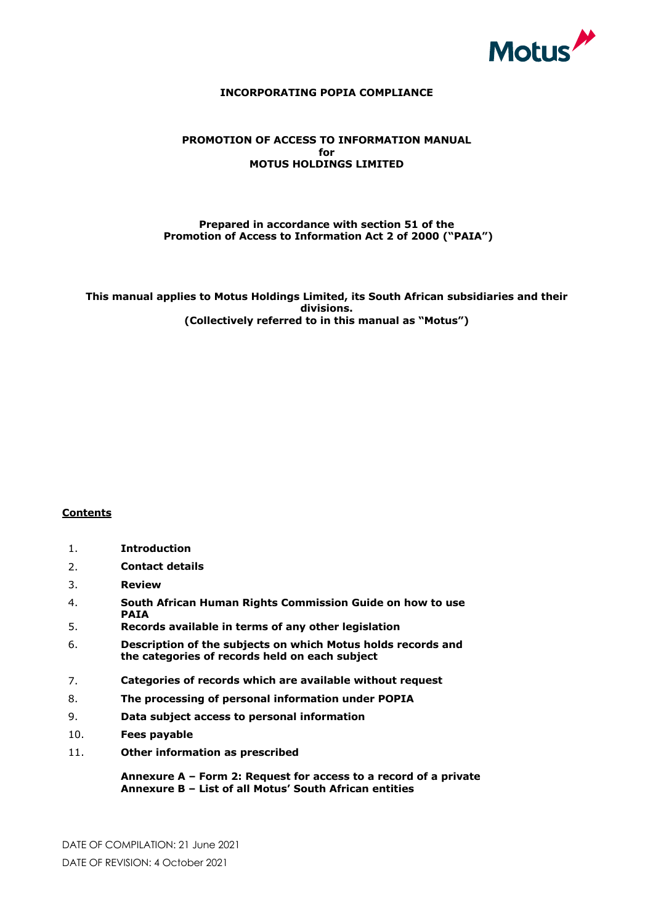

#### **INCORPORATING POPIA COMPLIANCE**

# **PROMOTION OF ACCESS TO INFORMATION MANUAL for MOTUS HOLDINGS LIMITED**

#### **Prepared in accordance with section 51 of the Promotion of Access to Information Act 2 of 2000 ("PAIA")**

**This manual applies to Motus Holdings Limited, its South African subsidiaries and their divisions. (Collectively referred to in this manual as "Motus")**

# **Contents**

- 1. **Introduction**
- 2. **Contact details**
- 3. **Review**
- 4. **South African Human Rights Commission Guide on how to use PAIA**
- 5. **Records available in terms of any other legislation**
- 6. **Description of the subjects on which Motus holds records and the categories of records held on each subject**
- 7. **Categories of records which are available without request**
- 8. **The processing of personal information under POPIA**
- 9. **Data subject access to personal information**
- 10. **Fees payable**
- 11. **Other information as prescribed**

**Annexure A – Form 2: Request for access to a record of a private body Annexure B – List of all Motus' South African entities**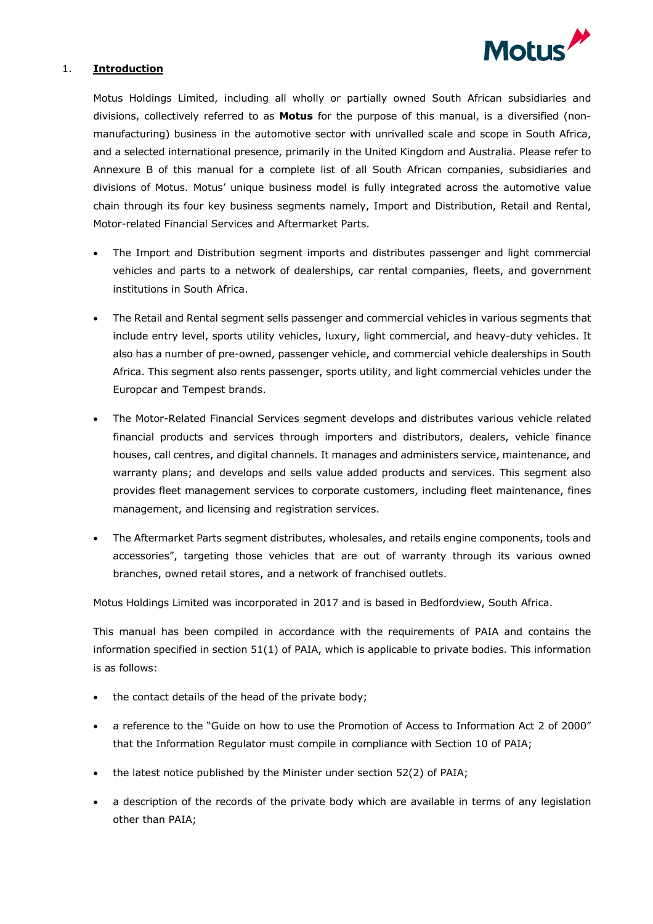

### 1. **Introduction**

Motus Holdings Limited, including all wholly or partially owned South African subsidiaries and divisions, collectively referred to as **Motus** for the purpose of this manual, is a diversified (nonmanufacturing) business in the automotive sector with unrivalled scale and scope in South Africa, and a selected international presence, primarily in the United Kingdom and Australia. Please refer to Annexure B of this manual for a complete list of all South African companies, subsidiaries and divisions of Motus. Motus' unique business model is fully integrated across the automotive value chain through its four key business segments namely, Import and Distribution, Retail and Rental, Motor-related Financial Services and Aftermarket Parts.

- The Import and Distribution segment imports and distributes passenger and light commercial vehicles and parts to a network of dealerships, car rental companies, fleets, and government institutions in South Africa.
- The Retail and Rental segment sells passenger and commercial vehicles in various segments that include entry level, sports utility vehicles, luxury, light commercial, and heavy-duty vehicles. It also has a number of pre-owned, passenger vehicle, and commercial vehicle dealerships in South Africa. This segment also rents passenger, sports utility, and light commercial vehicles under the Europcar and Tempest brands.
- The Motor-Related Financial Services segment develops and distributes various vehicle related financial products and services through importers and distributors, dealers, vehicle finance houses, call centres, and digital channels. It manages and administers service, maintenance, and warranty plans; and develops and sells value added products and services. This segment also provides fleet management services to corporate customers, including fleet maintenance, fines management, and licensing and registration services.
- The Aftermarket Parts segment distributes, wholesales, and retails engine components, tools and accessories", targeting those vehicles that are out of warranty through its various owned branches, owned retail stores, and a network of franchised outlets.

Motus Holdings Limited was incorporated in 2017 and is based in Bedfordview, South Africa.

This manual has been compiled in accordance with the requirements of PAIA and contains the information specified in section 51(1) of PAIA, which is applicable to private bodies. This information is as follows:

- the contact details of the head of the private body;
- a reference to the "Guide on how to use the Promotion of Access to Information Act 2 of 2000" that the Information Regulator must compile in compliance with Section 10 of PAIA;
- the latest notice published by the Minister under section 52(2) of PAIA;
- a description of the records of the private body which are available in terms of any legislation other than PAIA;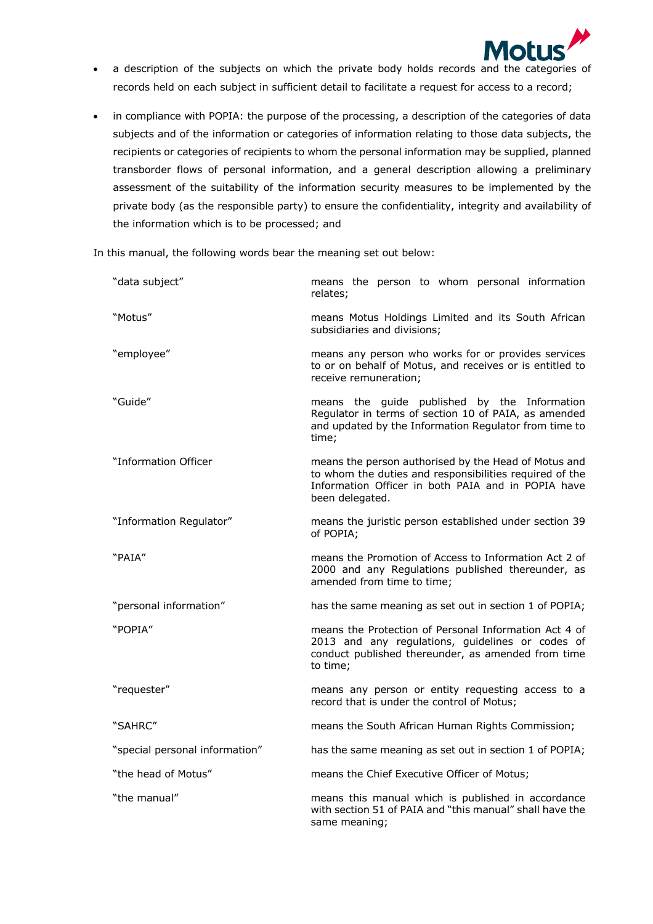

- a description of the subjects on which the private body holds records and the categories of records held on each subject in sufficient detail to facilitate a request for access to a record;
- in compliance with POPIA: the purpose of the processing, a description of the categories of data subjects and of the information or categories of information relating to those data subjects, the recipients or categories of recipients to whom the personal information may be supplied, planned transborder flows of personal information, and a general description allowing a preliminary assessment of the suitability of the information security measures to be implemented by the private body (as the responsible party) to ensure the confidentiality, integrity and availability of the information which is to be processed; and

In this manual, the following words bear the meaning set out below:

| "data subject"                 | means the person to whom personal information<br>relates;                                                                                                                                |  |  |  |  |
|--------------------------------|------------------------------------------------------------------------------------------------------------------------------------------------------------------------------------------|--|--|--|--|
| "Motus"                        | means Motus Holdings Limited and its South African<br>subsidiaries and divisions;                                                                                                        |  |  |  |  |
| "employee"                     | means any person who works for or provides services<br>to or on behalf of Motus, and receives or is entitled to<br>receive remuneration;                                                 |  |  |  |  |
| "Guide"                        | means the guide published by the Information<br>Regulator in terms of section 10 of PAIA, as amended<br>and updated by the Information Regulator from time to<br>time;                   |  |  |  |  |
| "Information Officer           | means the person authorised by the Head of Motus and<br>to whom the duties and responsibilities required of the<br>Information Officer in both PAIA and in POPIA have<br>been delegated. |  |  |  |  |
| "Information Regulator"        | means the juristic person established under section 39<br>of POPIA;                                                                                                                      |  |  |  |  |
| "PAIA"                         | means the Promotion of Access to Information Act 2 of<br>2000 and any Regulations published thereunder, as<br>amended from time to time;                                                 |  |  |  |  |
| "personal information"         | has the same meaning as set out in section 1 of POPIA;                                                                                                                                   |  |  |  |  |
| "POPIA"                        | means the Protection of Personal Information Act 4 of<br>2013 and any regulations, guidelines or codes of<br>conduct published thereunder, as amended from time<br>to time;              |  |  |  |  |
| "requester"                    | means any person or entity requesting access to a<br>record that is under the control of Motus;                                                                                          |  |  |  |  |
| "SAHRC"                        | means the South African Human Rights Commission;                                                                                                                                         |  |  |  |  |
| "special personal information" | has the same meaning as set out in section 1 of POPIA;                                                                                                                                   |  |  |  |  |
| "the head of Motus"            | means the Chief Executive Officer of Motus;                                                                                                                                              |  |  |  |  |
| "the manual"                   | means this manual which is published in accordance<br>with section 51 of PAIA and "this manual" shall have the<br>same meaning;                                                          |  |  |  |  |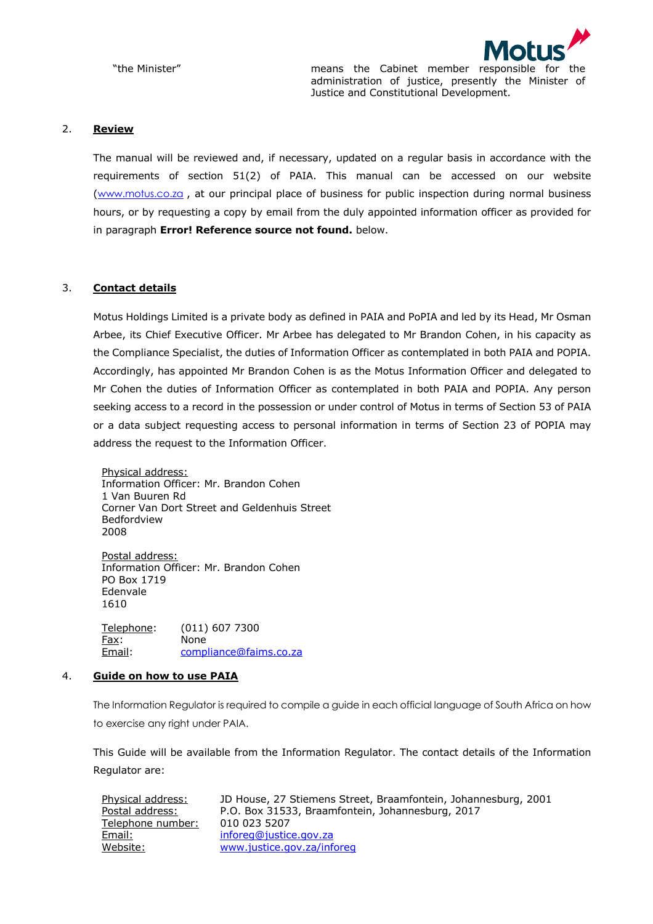

"the Minister" means the Cabinet member responsible for the administration of justice, presently the Minister of Justice and Constitutional Development.

#### 2. **Review**

The manual will be reviewed and, if necessary, updated on a regular basis in accordance with the requirements of section 51(2) of PAIA. This manual can be accessed on our website (www.motus.co.za , at our principal place of business for public inspection during normal business hours, or by requesting a copy by email from the duly appointed information officer as provided for in paragraph **Error! Reference source not found.** below.

# 3. **Contact details**

Motus Holdings Limited is a private body as defined in PAIA and PoPIA and led by its Head, Mr Osman Arbee, its Chief Executive Officer. Mr Arbee has delegated to Mr Brandon Cohen, in his capacity as the Compliance Specialist, the duties of Information Officer as contemplated in both PAIA and POPIA. Accordingly, has appointed Mr Brandon Cohen is as the Motus Information Officer and delegated to Mr Cohen the duties of Information Officer as contemplated in both PAIA and POPIA. Any person seeking access to a record in the possession or under control of Motus in terms of Section 53 of PAIA or a data subject requesting access to personal information in terms of Section 23 of POPIA may address the request to the Information Officer.

Physical address: Information Officer: Mr. Brandon Cohen 1 Van Buuren Rd Corner Van Dort Street and Geldenhuis Street Bedfordview 2008

Postal address: Information Officer: Mr. Brandon Cohen PO Box 1719 Edenvale 1610

Telephone: (011) 607 7300 Fax: None Email: compliance@faims.co.za

#### 4. **Guide on how to use PAIA**

The Information Regulator is required to compile a guide in each official language of South Africa on how to exercise any right under PAIA.

This Guide will be available from the Information Regulator. The contact details of the Information Regulator are:

| Physical address: | JD House, 27 Stiemens Street, Braamfontein, Johannesburg, 2001 |
|-------------------|----------------------------------------------------------------|
| Postal address:   | P.O. Box 31533, Braamfontein, Johannesburg, 2017               |
| Telephone number: | 010 023 5207                                                   |
| Email:            | inforeg@justice.gov.za                                         |
| Website:          | www.justice.gov.za/inforeg                                     |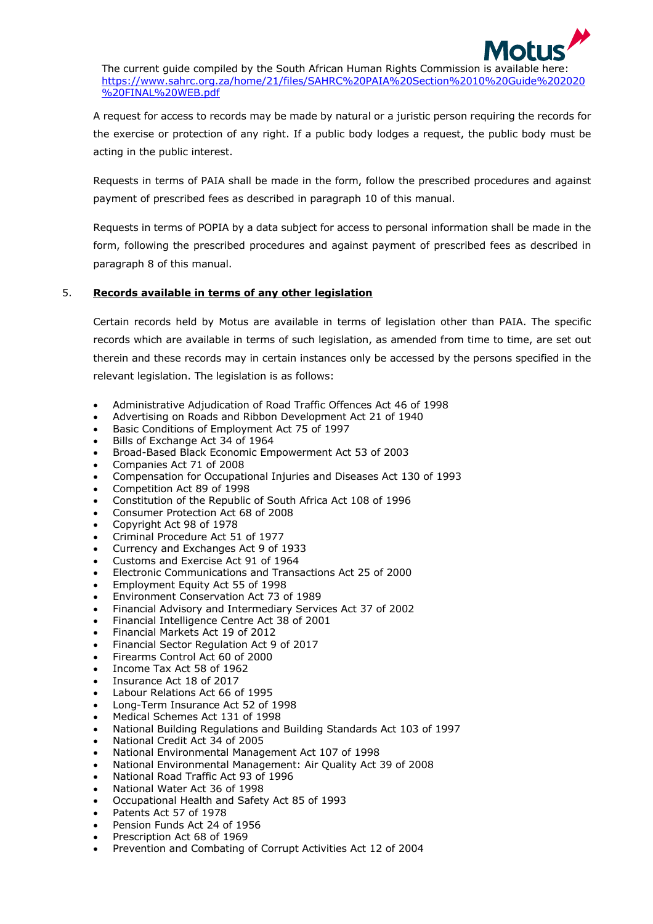

The current guide compiled by the South African Human Rights Commission is available here: https://www.sahrc.org.za/home/21/files/SAHRC%20PAIA%20Section%2010%20Guide%202020 %20FINAL%20WEB.pdf

A request for access to records may be made by natural or a juristic person requiring the records for the exercise or protection of any right. If a public body lodges a request, the public body must be acting in the public interest.

Requests in terms of PAIA shall be made in the form, follow the prescribed procedures and against payment of prescribed fees as described in paragraph 10 of this manual.

Requests in terms of POPIA by a data subject for access to personal information shall be made in the form, following the prescribed procedures and against payment of prescribed fees as described in paragraph 8 of this manual.

# 5. **Records available in terms of any other legislation**

Certain records held by Motus are available in terms of legislation other than PAIA. The specific records which are available in terms of such legislation, as amended from time to time, are set out therein and these records may in certain instances only be accessed by the persons specified in the relevant legislation. The legislation is as follows:

- Administrative Adjudication of Road Traffic Offences Act 46 of 1998
- Advertising on Roads and Ribbon Development Act 21 of 1940
- Basic Conditions of Employment Act 75 of 1997
- Bills of Exchange Act 34 of 1964
- Broad-Based Black Economic Empowerment Act 53 of 2003
- Companies Act 71 of 2008
- Compensation for Occupational Injuries and Diseases Act 130 of 1993
- Competition Act 89 of 1998
- Constitution of the Republic of South Africa Act 108 of 1996
- Consumer Protection Act 68 of 2008
- Copyright Act 98 of 1978
- Criminal Procedure Act 51 of 1977
- Currency and Exchanges Act 9 of 1933
- Customs and Exercise Act 91 of 1964
- Electronic Communications and Transactions Act 25 of 2000
- Employment Equity Act 55 of 1998
- Environment Conservation Act 73 of 1989
- Financial Advisory and Intermediary Services Act 37 of 2002
- Financial Intelligence Centre Act 38 of 2001
- Financial Markets Act 19 of 2012
- Financial Sector Regulation Act 9 of 2017
- Firearms Control Act 60 of 2000
- Income Tax Act 58 of 1962
- Insurance Act 18 of 2017
- Labour Relations Act 66 of 1995
- Long-Term Insurance Act 52 of 1998
- Medical Schemes Act 131 of 1998
- National Building Regulations and Building Standards Act 103 of 1997
- National Credit Act 34 of 2005
- National Environmental Management Act 107 of 1998
- National Environmental Management: Air Quality Act 39 of 2008
- National Road Traffic Act 93 of 1996
- National Water Act 36 of 1998
- Occupational Health and Safety Act 85 of 1993
- Patents Act 57 of 1978
- Pension Funds Act 24 of 1956
- Prescription Act 68 of 1969
- Prevention and Combating of Corrupt Activities Act 12 of 2004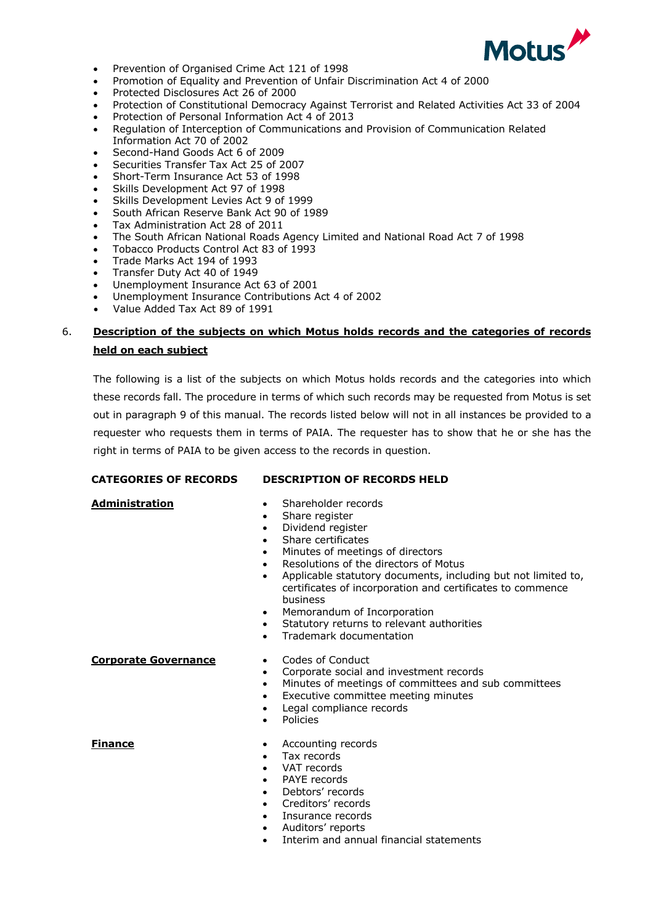

- Prevention of Organised Crime Act 121 of 1998
- Promotion of Equality and Prevention of Unfair Discrimination Act 4 of 2000
- Protected Disclosures Act 26 of 2000
- Protection of Constitutional Democracy Against Terrorist and Related Activities Act 33 of 2004
- Protection of Personal Information Act 4 of 2013
- Regulation of Interception of Communications and Provision of Communication Related Information Act 70 of 2002
- Second-Hand Goods Act 6 of 2009
- Securities Transfer Tax Act 25 of 2007
- Short-Term Insurance Act 53 of 1998
- Skills Development Act 97 of 1998
- Skills Development Levies Act 9 of 1999
- South African Reserve Bank Act 90 of 1989
- Tax Administration Act 28 of 2011
- The South African National Roads Agency Limited and National Road Act 7 of 1998
- Tobacco Products Control Act 83 of 1993
- Trade Marks Act 194 of 1993
- Transfer Duty Act 40 of 1949
- Unemployment Insurance Act 63 of 2001
- Unemployment Insurance Contributions Act 4 of 2002
- Value Added Tax Act 89 of 1991

# 6. **Description of the subjects on which Motus holds records and the categories of records held on each subject**

The following is a list of the subjects on which Motus holds records and the categories into which these records fall. The procedure in terms of which such records may be requested from Motus is set out in paragraph 9 of this manual. The records listed below will not in all instances be provided to a requester who requests them in terms of PAIA. The requester has to show that he or she has the right in terms of PAIA to be given access to the records in question.

#### **CATEGORIES OF RECORDS DESCRIPTION OF RECORDS HELD**

- **Administration** Shareholder records
	- Share register
	- Dividend register
	- Share certificates
	- Minutes of meetings of directors
	- Resolutions of the directors of Motus
	- Applicable statutory documents, including but not limited to, certificates of incorporation and certificates to commence business
	- Memorandum of Incorporation
	- Statutory returns to relevant authorities
	- Trademark documentation

#### **Corporate Governance** • Codes of Conduct

- 
- Corporate social and investment records
- Minutes of meetings of committees and sub committees
- Executive committee meeting minutes
- Legal compliance records
- **Policies**

- **Finance Accounting records** 
	- Tax records
	- VAT records
	- PAYE records
	- Debtors' records
	- Creditors' records
	- Insurance records
	- Auditors' reports
	- Interim and annual financial statements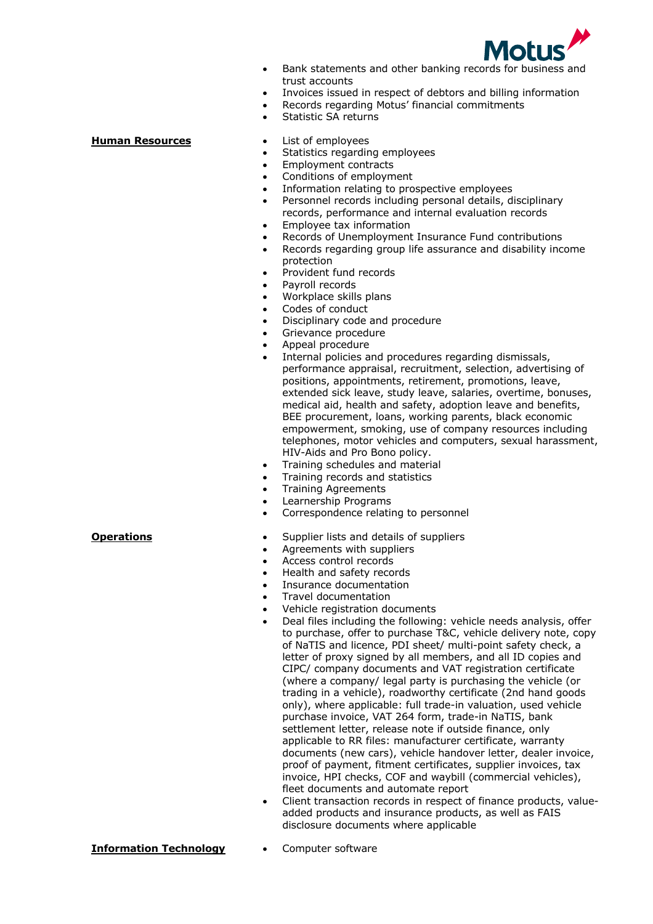

- Bank statements and other banking records for business and trust accounts
- Invoices issued in respect of debtors and billing information
- Records regarding Motus' financial commitments
- Statistic SA returns

- **Human Resources** List of employees
	- Statistics regarding employees
	- Employment contracts
	- Conditions of employment
	- Information relating to prospective employees
	- Personnel records including personal details, disciplinary records, performance and internal evaluation records
	- Employee tax information
	- Records of Unemployment Insurance Fund contributions
	- Records regarding group life assurance and disability income protection
	- Provident fund records
	- Payroll records
	- Workplace skills plans
	- Codes of conduct
	- Disciplinary code and procedure
	- Grievance procedure
	- Appeal procedure
	- Internal policies and procedures regarding dismissals, performance appraisal, recruitment, selection, advertising of positions, appointments, retirement, promotions, leave, extended sick leave, study leave, salaries, overtime, bonuses, medical aid, health and safety, adoption leave and benefits, BEE procurement, loans, working parents, black economic empowerment, smoking, use of company resources including telephones, motor vehicles and computers, sexual harassment, HIV-Aids and Pro Bono policy.
	- Training schedules and material
	- Training records and statistics
	- Training Agreements
	- Learnership Programs
	- Correspondence relating to personnel
- **Operations** Supplier lists and details of suppliers
	- Agreements with suppliers
	- Access control records
	- Health and safety records
	- Insurance documentation
	- Travel documentation
	- Vehicle registration documents
	- Deal files including the following: vehicle needs analysis, offer to purchase, offer to purchase T&C, vehicle delivery note, copy of NaTIS and licence, PDI sheet/ multi-point safety check, a letter of proxy signed by all members, and all ID copies and CIPC/ company documents and VAT registration certificate (where a company/ legal party is purchasing the vehicle (or trading in a vehicle), roadworthy certificate (2nd hand goods only), where applicable: full trade-in valuation, used vehicle purchase invoice, VAT 264 form, trade-in NaTIS, bank settlement letter, release note if outside finance, only applicable to RR files: manufacturer certificate, warranty documents (new cars), vehicle handover letter, dealer invoice, proof of payment, fitment certificates, supplier invoices, tax invoice, HPI checks, COF and waybill (commercial vehicles), fleet documents and automate report
	- Client transaction records in respect of finance products, valueadded products and insurance products, as well as FAIS disclosure documents where applicable

#### **Information Technology** • Computer software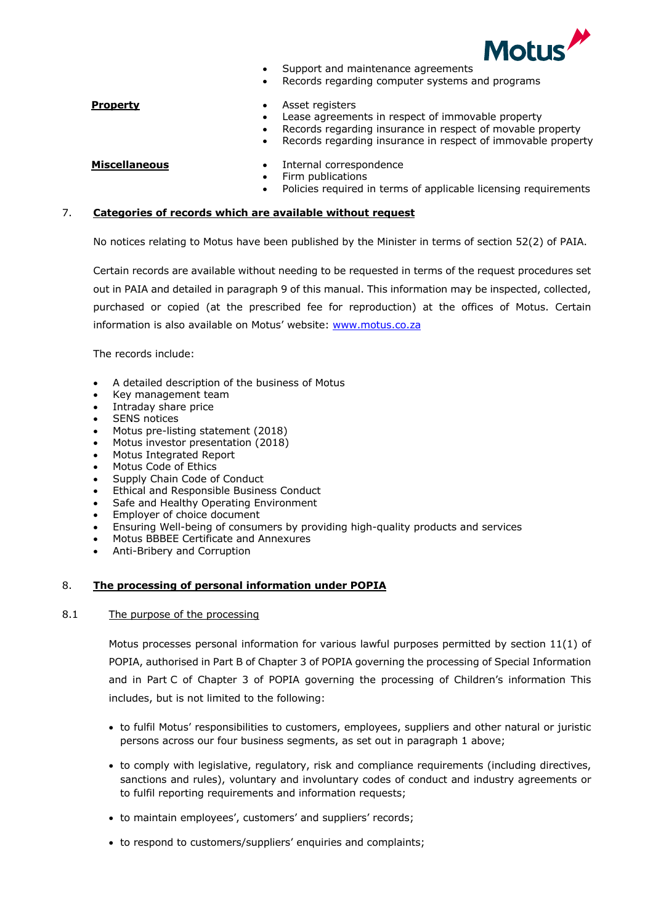

- Support and maintenance agreements
- Records regarding computer systems and programs

- **Property •** Asset registers
	- Lease agreements in respect of immovable property
		- Records regarding insurance in respect of movable property
	- Records regarding insurance in respect of immovable property

- **Miscellaneous** Internal correspondence
	- Firm publications
	- Policies required in terms of applicable licensing requirements

## 7. **Categories of records which are available without request**

No notices relating to Motus have been published by the Minister in terms of section 52(2) of PAIA.

Certain records are available without needing to be requested in terms of the request procedures set out in PAIA and detailed in paragraph 9 of this manual. This information may be inspected, collected, purchased or copied (at the prescribed fee for reproduction) at the offices of Motus. Certain information is also available on Motus' website: www.motus.co.za

The records include:

- A detailed description of the business of Motus
- Key management team
- Intraday share price
- **SENS** notices
- Motus pre-listing statement (2018)
- Motus investor presentation (2018)
- Motus Integrated Report
- Motus Code of Ethics
- Supply Chain Code of Conduct
- Ethical and Responsible Business Conduct
- Safe and Healthy Operating Environment
- Employer of choice document
- Ensuring Well-being of consumers by providing high-quality products and services
- Motus BBBEE Certificate and Annexures
- Anti-Bribery and Corruption

# 8. **The processing of personal information under POPIA**

#### 8.1 The purpose of the processing

Motus processes personal information for various lawful purposes permitted by section 11(1) of POPIA, authorised in Part B of Chapter 3 of POPIA governing the processing of Special Information and in Part C of Chapter 3 of POPIA governing the processing of Children's information This includes, but is not limited to the following:

- to fulfil Motus' responsibilities to customers, employees, suppliers and other natural or juristic persons across our four business segments, as set out in paragraph 1 above;
- to comply with legislative, regulatory, risk and compliance requirements (including directives, sanctions and rules), voluntary and involuntary codes of conduct and industry agreements or to fulfil reporting requirements and information requests;
- to maintain employees', customers' and suppliers' records;
- to respond to customers/suppliers' enquiries and complaints;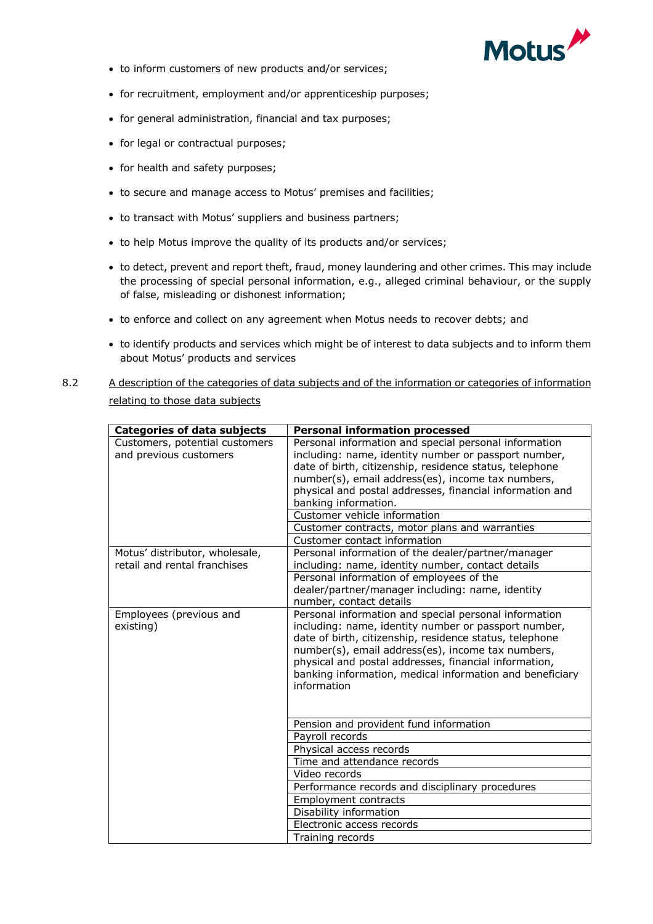

- to inform customers of new products and/or services;
- for recruitment, employment and/or apprenticeship purposes;
- for general administration, financial and tax purposes;
- for legal or contractual purposes;
- for health and safety purposes;
- to secure and manage access to Motus' premises and facilities;
- to transact with Motus' suppliers and business partners;
- to help Motus improve the quality of its products and/or services;
- to detect, prevent and report theft, fraud, money laundering and other crimes. This may include the processing of special personal information, e.g., alleged criminal behaviour, or the supply of false, misleading or dishonest information;
- to enforce and collect on any agreement when Motus needs to recover debts; and
- to identify products and services which might be of interest to data subjects and to inform them about Motus' products and services
- 8.2 A description of the categories of data subjects and of the information or categories of information relating to those data subjects

| <b>Categories of data subjects</b>                       | <b>Personal information processed</b>                                                                         |
|----------------------------------------------------------|---------------------------------------------------------------------------------------------------------------|
| Customers, potential customers<br>and previous customers | Personal information and special personal information<br>including: name, identity number or passport number, |
|                                                          | date of birth, citizenship, residence status, telephone                                                       |
|                                                          | number(s), email address(es), income tax numbers,                                                             |
|                                                          | physical and postal addresses, financial information and<br>banking information.                              |
|                                                          | Customer vehicle information                                                                                  |
|                                                          | Customer contracts, motor plans and warranties                                                                |
|                                                          | Customer contact information                                                                                  |
| Motus' distributor, wholesale,                           | Personal information of the dealer/partner/manager                                                            |
| retail and rental franchises                             | including: name, identity number, contact details                                                             |
|                                                          | Personal information of employees of the                                                                      |
|                                                          | dealer/partner/manager including: name, identity                                                              |
|                                                          | number, contact details                                                                                       |
| Employees (previous and                                  | Personal information and special personal information                                                         |
| existing)                                                | including: name, identity number or passport number,                                                          |
|                                                          | date of birth, citizenship, residence status, telephone<br>number(s), email address(es), income tax numbers,  |
|                                                          | physical and postal addresses, financial information,                                                         |
|                                                          | banking information, medical information and beneficiary                                                      |
|                                                          | information                                                                                                   |
|                                                          |                                                                                                               |
|                                                          |                                                                                                               |
|                                                          | Pension and provident fund information                                                                        |
|                                                          | Payroll records                                                                                               |
|                                                          | Physical access records                                                                                       |
|                                                          | Time and attendance records                                                                                   |
|                                                          | Video records                                                                                                 |
|                                                          | Performance records and disciplinary procedures                                                               |
|                                                          | <b>Employment contracts</b>                                                                                   |
|                                                          | Disability information                                                                                        |
|                                                          | Electronic access records                                                                                     |
|                                                          | Training records                                                                                              |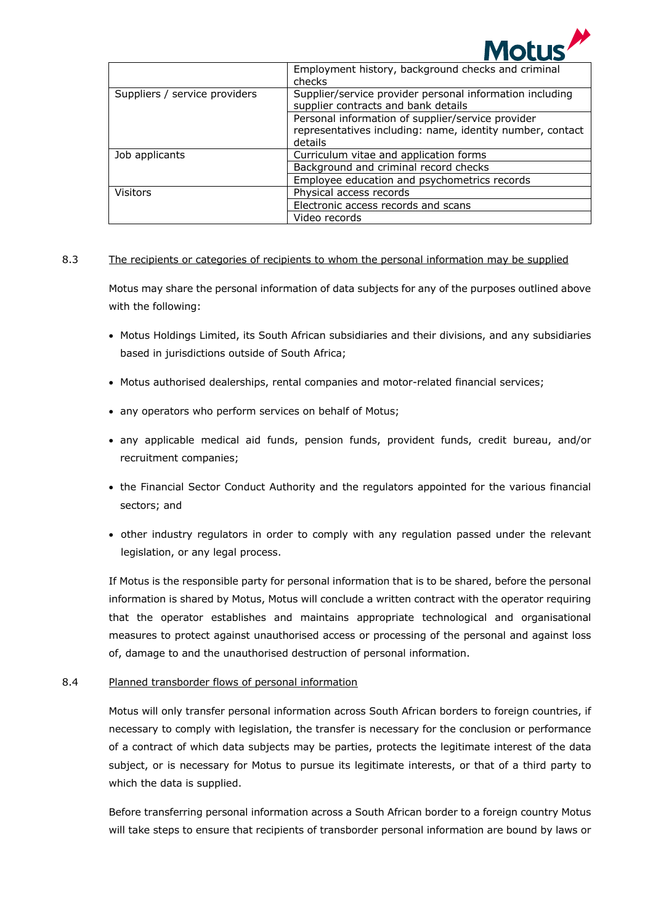

|                               | Employment history, background checks and criminal<br>checks                                                              |
|-------------------------------|---------------------------------------------------------------------------------------------------------------------------|
| Suppliers / service providers | Supplier/service provider personal information including<br>supplier contracts and bank details                           |
|                               | Personal information of supplier/service provider<br>representatives including: name, identity number, contact<br>details |
| Job applicants                | Curriculum vitae and application forms                                                                                    |
|                               | Background and criminal record checks                                                                                     |
|                               | Employee education and psychometrics records                                                                              |
| <b>Visitors</b>               | Physical access records                                                                                                   |
|                               | Electronic access records and scans                                                                                       |
|                               | Video records                                                                                                             |

### 8.3 The recipients or categories of recipients to whom the personal information may be supplied

Motus may share the personal information of data subjects for any of the purposes outlined above with the following:

- Motus Holdings Limited, its South African subsidiaries and their divisions, and any subsidiaries based in jurisdictions outside of South Africa;
- Motus authorised dealerships, rental companies and motor-related financial services;
- any operators who perform services on behalf of Motus;
- any applicable medical aid funds, pension funds, provident funds, credit bureau, and/or recruitment companies;
- the Financial Sector Conduct Authority and the regulators appointed for the various financial sectors; and
- other industry regulators in order to comply with any regulation passed under the relevant legislation, or any legal process.

If Motus is the responsible party for personal information that is to be shared, before the personal information is shared by Motus, Motus will conclude a written contract with the operator requiring that the operator establishes and maintains appropriate technological and organisational measures to protect against unauthorised access or processing of the personal and against loss of, damage to and the unauthorised destruction of personal information.

# 8.4 Planned transborder flows of personal information

Motus will only transfer personal information across South African borders to foreign countries, if necessary to comply with legislation, the transfer is necessary for the conclusion or performance of a contract of which data subjects may be parties, protects the legitimate interest of the data subject, or is necessary for Motus to pursue its legitimate interests, or that of a third party to which the data is supplied.

Before transferring personal information across a South African border to a foreign country Motus will take steps to ensure that recipients of transborder personal information are bound by laws or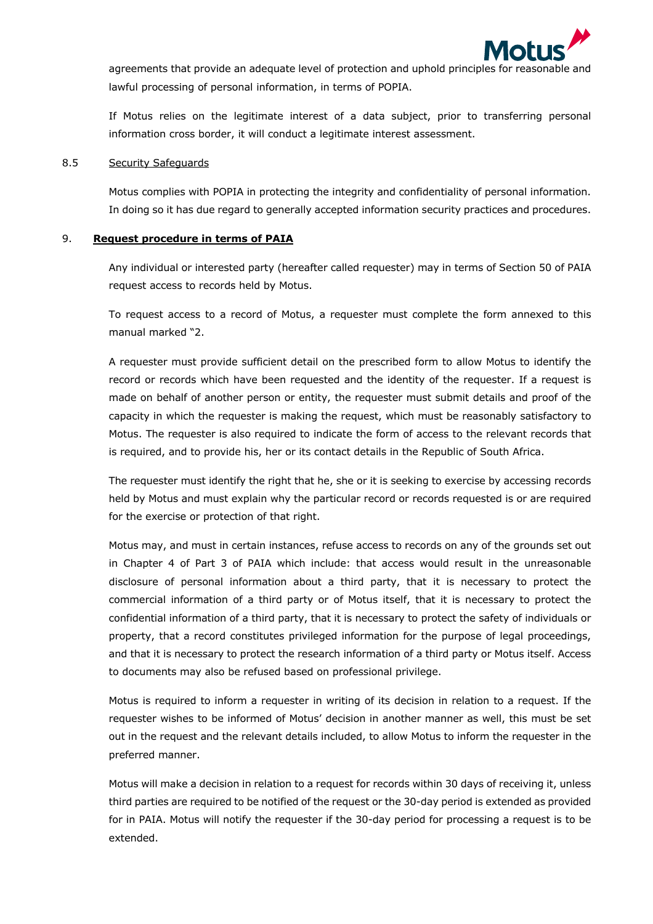

agreements that provide an adequate level of protection and uphold principles for reasonable and lawful processing of personal information, in terms of POPIA.

If Motus relies on the legitimate interest of a data subject, prior to transferring personal information cross border, it will conduct a legitimate interest assessment.

#### 8.5 Security Safeguards

Motus complies with POPIA in protecting the integrity and confidentiality of personal information. In doing so it has due regard to generally accepted information security practices and procedures.

### 9. **Request procedure in terms of PAIA**

Any individual or interested party (hereafter called requester) may in terms of Section 50 of PAIA request access to records held by Motus.

To request access to a record of Motus, a requester must complete the form annexed to this manual marked "2.

A requester must provide sufficient detail on the prescribed form to allow Motus to identify the record or records which have been requested and the identity of the requester. If a request is made on behalf of another person or entity, the requester must submit details and proof of the capacity in which the requester is making the request, which must be reasonably satisfactory to Motus. The requester is also required to indicate the form of access to the relevant records that is required, and to provide his, her or its contact details in the Republic of South Africa.

The requester must identify the right that he, she or it is seeking to exercise by accessing records held by Motus and must explain why the particular record or records requested is or are required for the exercise or protection of that right.

Motus may, and must in certain instances, refuse access to records on any of the grounds set out in Chapter 4 of Part 3 of PAIA which include: that access would result in the unreasonable disclosure of personal information about a third party, that it is necessary to protect the commercial information of a third party or of Motus itself, that it is necessary to protect the confidential information of a third party, that it is necessary to protect the safety of individuals or property, that a record constitutes privileged information for the purpose of legal proceedings, and that it is necessary to protect the research information of a third party or Motus itself. Access to documents may also be refused based on professional privilege.

Motus is required to inform a requester in writing of its decision in relation to a request. If the requester wishes to be informed of Motus' decision in another manner as well, this must be set out in the request and the relevant details included, to allow Motus to inform the requester in the preferred manner.

Motus will make a decision in relation to a request for records within 30 days of receiving it, unless third parties are required to be notified of the request or the 30-day period is extended as provided for in PAIA. Motus will notify the requester if the 30-day period for processing a request is to be extended.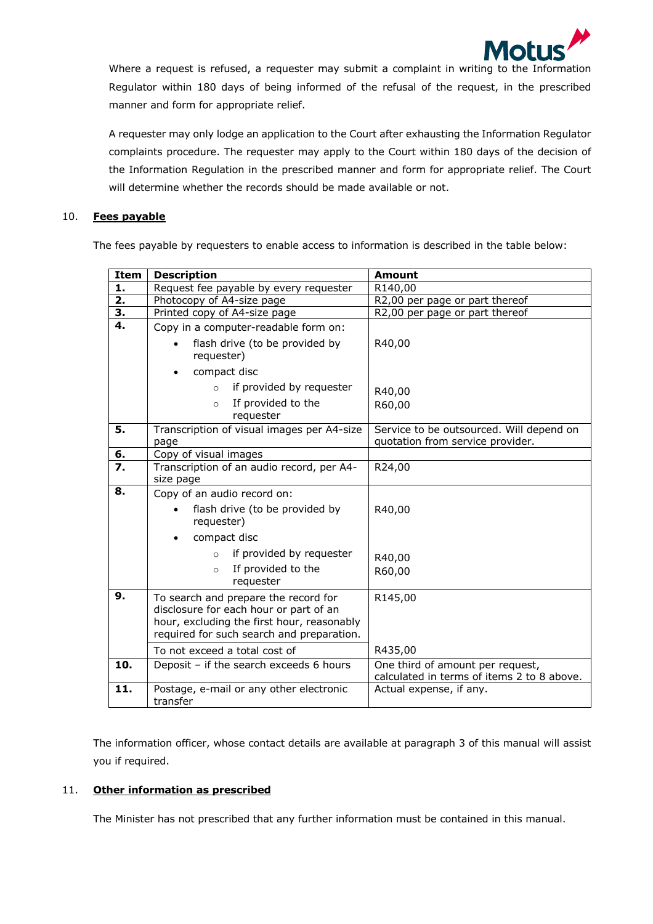

Where a request is refused, a requester may submit a complaint in writing to the Information Regulator within 180 days of being informed of the refusal of the request, in the prescribed manner and form for appropriate relief.

A requester may only lodge an application to the Court after exhausting the Information Regulator complaints procedure. The requester may apply to the Court within 180 days of the decision of the Information Regulation in the prescribed manner and form for appropriate relief. The Court will determine whether the records should be made available or not.

# 10. **Fees payable**

The fees payable by requesters to enable access to information is described in the table below:

| <b>Item</b>      | <b>Description</b>                                                                                                                                                        | <b>Amount</b>                                                                  |  |
|------------------|---------------------------------------------------------------------------------------------------------------------------------------------------------------------------|--------------------------------------------------------------------------------|--|
| 1.               | Request fee payable by every requester                                                                                                                                    | R140,00                                                                        |  |
| $\overline{2}$ . | Photocopy of A4-size page                                                                                                                                                 | R2,00 per page or part thereof                                                 |  |
| <u>3.</u>        | Printed copy of A4-size page                                                                                                                                              | R2,00 per page or part thereof                                                 |  |
| $\overline{4}$ . | Copy in a computer-readable form on:                                                                                                                                      |                                                                                |  |
|                  | flash drive (to be provided by<br>requester)                                                                                                                              | R40,00                                                                         |  |
|                  | compact disc                                                                                                                                                              |                                                                                |  |
|                  | if provided by requester<br>$\circ$                                                                                                                                       | R40,00                                                                         |  |
|                  | If provided to the<br>$\circ$<br>requester                                                                                                                                | R60,00                                                                         |  |
| 5.               | Transcription of visual images per A4-size<br>page                                                                                                                        | Service to be outsourced. Will depend on<br>quotation from service provider.   |  |
| 6.               | Copy of visual images                                                                                                                                                     |                                                                                |  |
| 7.               | Transcription of an audio record, per A4-<br>size page                                                                                                                    | R24,00                                                                         |  |
| 8.               | Copy of an audio record on:                                                                                                                                               |                                                                                |  |
|                  | flash drive (to be provided by<br>requester)                                                                                                                              | R40,00                                                                         |  |
|                  | compact disc                                                                                                                                                              |                                                                                |  |
|                  | if provided by requester<br>$\circ$                                                                                                                                       | R40,00                                                                         |  |
|                  | If provided to the<br>$\circ$<br>requester                                                                                                                                | R60,00                                                                         |  |
| 9.               | To search and prepare the record for<br>disclosure for each hour or part of an<br>hour, excluding the first hour, reasonably<br>required for such search and preparation. | R145,00                                                                        |  |
|                  | To not exceed a total cost of                                                                                                                                             | R435,00                                                                        |  |
| 10.              | Deposit - if the search exceeds 6 hours                                                                                                                                   | One third of amount per request,<br>calculated in terms of items 2 to 8 above. |  |
| 11.              | Postage, e-mail or any other electronic<br>transfer                                                                                                                       | Actual expense, if any.                                                        |  |

The information officer, whose contact details are available at paragraph 3 of this manual will assist you if required.

# 11. **Other information as prescribed**

The Minister has not prescribed that any further information must be contained in this manual.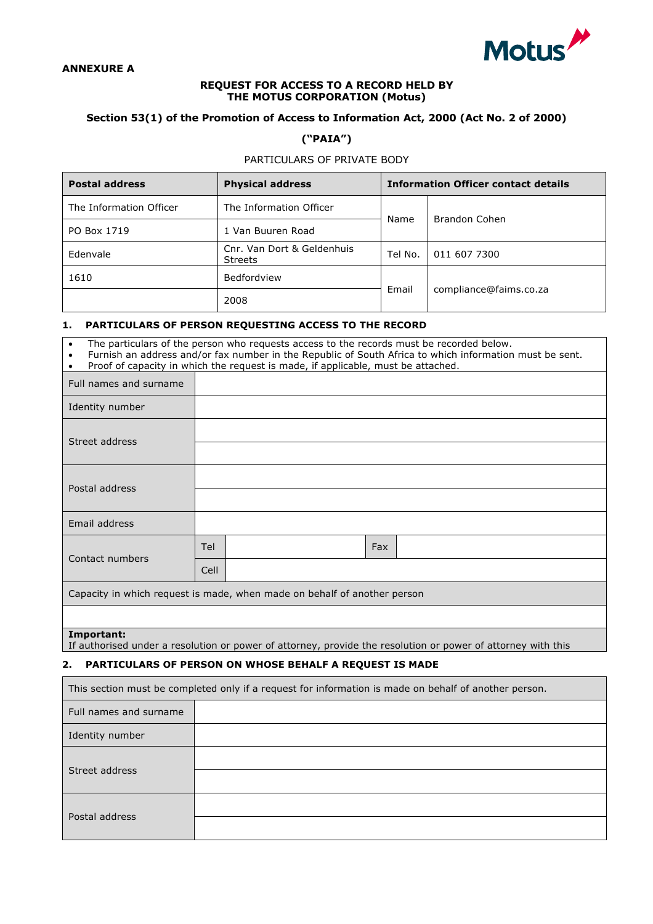

#### **ANNEXURE A**

#### **REQUEST FOR ACCESS TO A RECORD HELD BY THE MOTUS CORPORATION (Motus)**

# **Section 53(1) of the Promotion of Access to Information Act, 2000 (Act No. 2 of 2000)**

# **("PAIA")**

# PARTICULARS OF PRIVATE BODY

| <b>Postal address</b>   | <b>Physical address</b>                      | <b>Information Officer contact details</b> |                        |  |
|-------------------------|----------------------------------------------|--------------------------------------------|------------------------|--|
| The Information Officer | The Information Officer                      |                                            |                        |  |
| PO Box 1719             | 1 Van Buuren Road                            | Name                                       | Brandon Cohen          |  |
| Edenvale                | Cnr. Van Dort & Geldenhuis<br><b>Streets</b> | Tel No.                                    | 011 607 7300           |  |
| 1610                    | Bedfordview                                  |                                            | compliance@faims.co.za |  |
|                         | 2008                                         | Email                                      |                        |  |

# **1. PARTICULARS OF PERSON REQUESTING ACCESS TO THE RECORD**

| The particulars of the person who requests access to the records must be recorded below.<br>$\bullet$<br>Furnish an address and/or fax number in the Republic of South Africa to which information must be sent.<br>$\bullet$<br>Proof of capacity in which the request is made, if applicable, must be attached. |      |     |  |  |
|-------------------------------------------------------------------------------------------------------------------------------------------------------------------------------------------------------------------------------------------------------------------------------------------------------------------|------|-----|--|--|
| Full names and surname                                                                                                                                                                                                                                                                                            |      |     |  |  |
| Identity number                                                                                                                                                                                                                                                                                                   |      |     |  |  |
| Street address                                                                                                                                                                                                                                                                                                    |      |     |  |  |
|                                                                                                                                                                                                                                                                                                                   |      |     |  |  |
| Postal address                                                                                                                                                                                                                                                                                                    |      |     |  |  |
|                                                                                                                                                                                                                                                                                                                   |      |     |  |  |
| Email address                                                                                                                                                                                                                                                                                                     |      |     |  |  |
| Contact numbers                                                                                                                                                                                                                                                                                                   | Tel  | Fax |  |  |
|                                                                                                                                                                                                                                                                                                                   | Cell |     |  |  |
| Capacity in which request is made, when made on behalf of another person                                                                                                                                                                                                                                          |      |     |  |  |
|                                                                                                                                                                                                                                                                                                                   |      |     |  |  |
| Important:                                                                                                                                                                                                                                                                                                        |      |     |  |  |

### If authorised under a resolution or power of attorney, provide the resolution or power of attorney with this

# 2. PARTICULARS OF PERSON ON WHOSE BEHALF A REQUEST IS MADE

| This section must be completed only if a request for information is made on behalf of another person. |  |  |  |  |
|-------------------------------------------------------------------------------------------------------|--|--|--|--|
| Full names and surname                                                                                |  |  |  |  |
| Identity number                                                                                       |  |  |  |  |
| Street address                                                                                        |  |  |  |  |
| Postal address                                                                                        |  |  |  |  |
|                                                                                                       |  |  |  |  |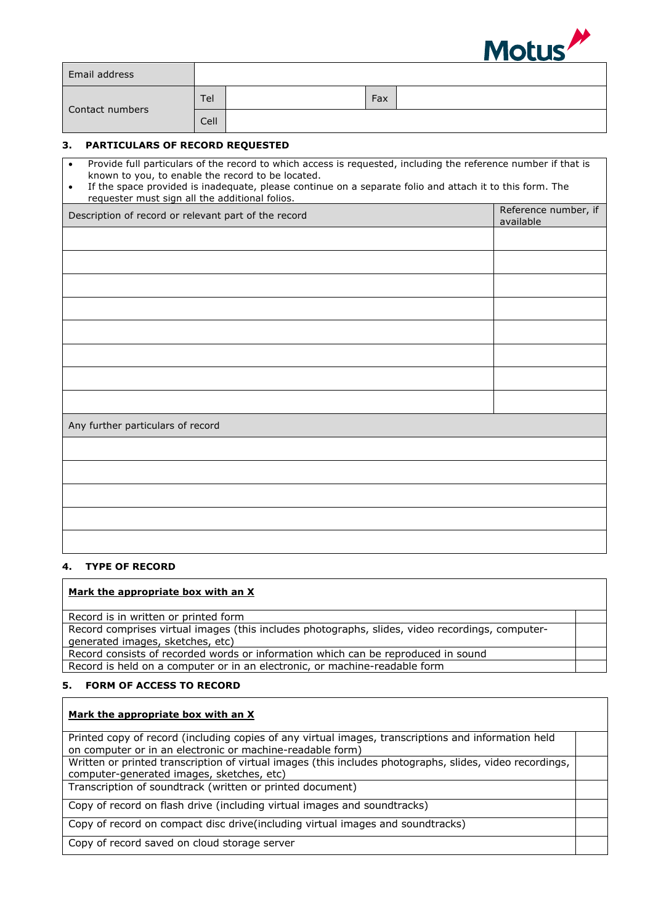

|                 | Email address                                                                                                                                                                                                                                                                                                                     |      |  |     |  |  |                                   |
|-----------------|-----------------------------------------------------------------------------------------------------------------------------------------------------------------------------------------------------------------------------------------------------------------------------------------------------------------------------------|------|--|-----|--|--|-----------------------------------|
| Contact numbers |                                                                                                                                                                                                                                                                                                                                   | Tel  |  | Fax |  |  |                                   |
|                 |                                                                                                                                                                                                                                                                                                                                   | Cell |  |     |  |  |                                   |
| 3.              | PARTICULARS OF RECORD REQUESTED                                                                                                                                                                                                                                                                                                   |      |  |     |  |  |                                   |
| $\bullet$<br>٠  | Provide full particulars of the record to which access is requested, including the reference number if that is<br>known to you, to enable the record to be located.<br>If the space provided is inadequate, please continue on a separate folio and attach it to this form. The<br>requester must sign all the additional folios. |      |  |     |  |  |                                   |
|                 | Description of record or relevant part of the record                                                                                                                                                                                                                                                                              |      |  |     |  |  | Reference number, if<br>available |
|                 |                                                                                                                                                                                                                                                                                                                                   |      |  |     |  |  |                                   |
|                 |                                                                                                                                                                                                                                                                                                                                   |      |  |     |  |  |                                   |
|                 |                                                                                                                                                                                                                                                                                                                                   |      |  |     |  |  |                                   |
|                 |                                                                                                                                                                                                                                                                                                                                   |      |  |     |  |  |                                   |
|                 |                                                                                                                                                                                                                                                                                                                                   |      |  |     |  |  |                                   |
|                 |                                                                                                                                                                                                                                                                                                                                   |      |  |     |  |  |                                   |
|                 |                                                                                                                                                                                                                                                                                                                                   |      |  |     |  |  |                                   |
|                 |                                                                                                                                                                                                                                                                                                                                   |      |  |     |  |  |                                   |
|                 | Any further particulars of record                                                                                                                                                                                                                                                                                                 |      |  |     |  |  |                                   |
|                 |                                                                                                                                                                                                                                                                                                                                   |      |  |     |  |  |                                   |
|                 |                                                                                                                                                                                                                                                                                                                                   |      |  |     |  |  |                                   |
|                 |                                                                                                                                                                                                                                                                                                                                   |      |  |     |  |  |                                   |
|                 |                                                                                                                                                                                                                                                                                                                                   |      |  |     |  |  |                                   |
|                 |                                                                                                                                                                                                                                                                                                                                   |      |  |     |  |  |                                   |

#### **4. TYPE OF RECORD**

#### **Mark the appropriate box with an X**

Record is in written or printed form

Record comprises virtual images (this includes photographs, slides, video recordings, computergenerated images, sketches, etc)

Record consists of recorded words or information which can be reproduced in sound Record is held on a computer or in an electronic, or machine-readable form

# **5. FORM OF ACCESS TO RECORD**

### **Mark the appropriate box with an X**

Printed copy of record (including copies of any virtual images, transcriptions and information held on computer or in an electronic or machine-readable form) Written or printed transcription of virtual images (this includes photographs, slides, video recordings,

computer-generated images, sketches, etc)

Transcription of soundtrack (written or printed document)

Copy of record on flash drive (including virtual images and soundtracks)

Copy of record on compact disc drive(including virtual images and soundtracks)

Copy of record saved on cloud storage server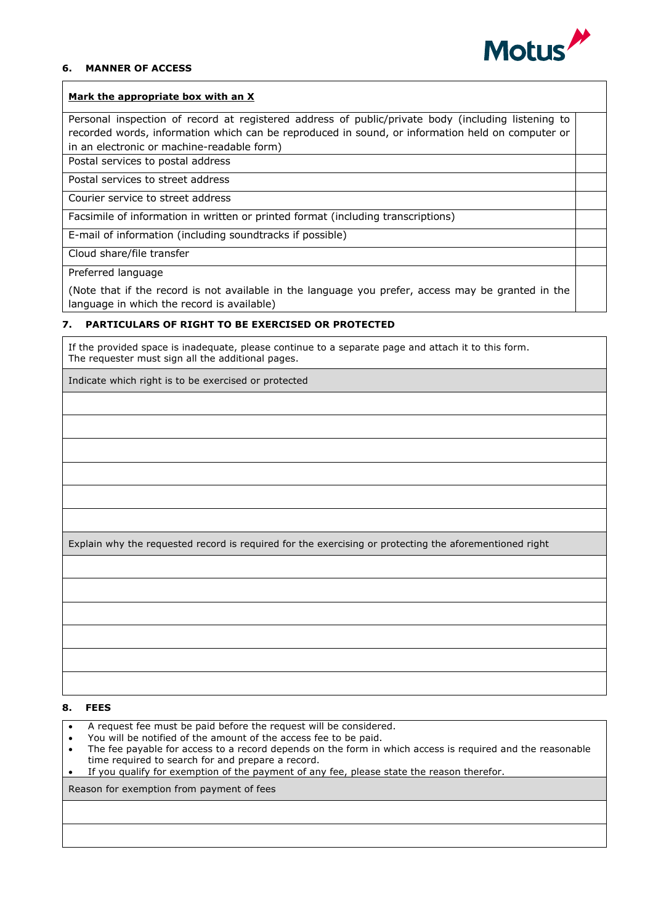

#### **6. MANNER OF ACCESS**

#### **Mark the appropriate box with an X**

Personal inspection of record at registered address of public/private body (including listening to recorded words, information which can be reproduced in sound, or information held on computer or in an electronic or machine-readable form)

Postal services to postal address

Postal services to street address

Courier service to street address

Facsimile of information in written or printed format (including transcriptions)

E-mail of information (including soundtracks if possible)

Cloud share/file transfer

Preferred language

(Note that if the record is not available in the language you prefer, access may be granted in the language in which the record is available)

#### **7. PARTICULARS OF RIGHT TO BE EXERCISED OR PROTECTED**

If the provided space is inadequate, please continue to a separate page and attach it to this form. The requester must sign all the additional pages.

Indicate which right is to be exercised or protected

Explain why the requested record is required for the exercising or protecting the aforementioned right

#### **8. FEES**

- A request fee must be paid before the request will be considered.
- You will be notified of the amount of the access fee to be paid.
- The fee payable for access to a record depends on the form in which access is required and the reasonable time required to search for and prepare a record.
- If you qualify for exemption of the payment of any fee, please state the reason therefor.

Reason for exemption from payment of fees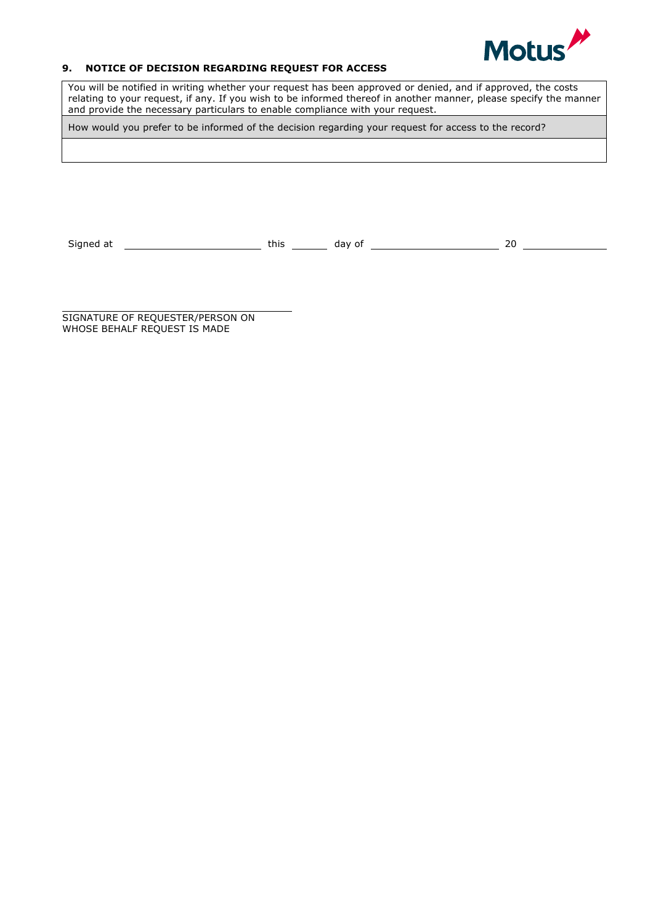

# **9. NOTICE OF DECISION REGARDING REQUEST FOR ACCESS**

You will be notified in writing whether your request has been approved or denied, and if approved, the costs relating to your request, if any. If you wish to be informed thereof in another manner, please specify the manner and provide the necessary particulars to enable compliance with your request.

How would you prefer to be informed of the decision regarding your request for access to the record?

Signed at  $\begin{array}{c|c} \text{Signed at} \end{array}$   $\begin{array}{c|c} \text{this} \end{array}$  day of  $\begin{array}{c|c} \text{days} \end{array}$  20  $\begin{array}{c|c} \text{days} \end{array}$ 

SIGNATURE OF REQUESTER/PERSON ON WHOSE BEHALF REQUEST IS MADE